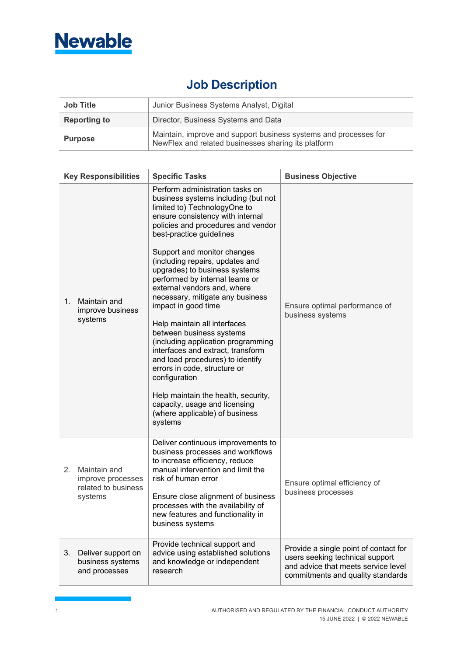

## **Job Description**

| <b>Job Title</b>    | Junior Business Systems Analyst, Digital                                                                                |  |
|---------------------|-------------------------------------------------------------------------------------------------------------------------|--|
| <b>Reporting to</b> | Director, Business Systems and Data                                                                                     |  |
| <b>Purpose</b>      | Maintain, improve and support business systems and processes for<br>NewFlex and related businesses sharing its platform |  |

|             | <b>Key Responsibilities</b>                                         | <b>Specific Tasks</b>                                                                                                                                                                                                                                                                                                                                                                                                                                                                                                                                                                                                                                                                                                                                                                        | <b>Business Objective</b>                                                                                                                            |
|-------------|---------------------------------------------------------------------|----------------------------------------------------------------------------------------------------------------------------------------------------------------------------------------------------------------------------------------------------------------------------------------------------------------------------------------------------------------------------------------------------------------------------------------------------------------------------------------------------------------------------------------------------------------------------------------------------------------------------------------------------------------------------------------------------------------------------------------------------------------------------------------------|------------------------------------------------------------------------------------------------------------------------------------------------------|
| $1_{\cdot}$ | Maintain and<br>improve business<br>systems                         | Perform administration tasks on<br>business systems including (but not<br>limited to) TechnologyOne to<br>ensure consistency with internal<br>policies and procedures and vendor<br>best-practice guidelines<br>Support and monitor changes<br>(including repairs, updates and<br>upgrades) to business systems<br>performed by internal teams or<br>external vendors and, where<br>necessary, mitigate any business<br>impact in good time<br>Help maintain all interfaces<br>between business systems<br>(including application programming<br>interfaces and extract, transform<br>and load procedures) to identify<br>errors in code, structure or<br>configuration<br>Help maintain the health, security,<br>capacity, usage and licensing<br>(where applicable) of business<br>systems | Ensure optimal performance of<br>business systems                                                                                                    |
| 2.          | Maintain and<br>improve processes<br>related to business<br>systems | Deliver continuous improvements to<br>business processes and workflows<br>to increase efficiency, reduce<br>manual intervention and limit the<br>risk of human error<br>Ensure close alignment of business<br>processes with the availability of<br>new features and functionality in<br>business systems                                                                                                                                                                                                                                                                                                                                                                                                                                                                                    | Ensure optimal efficiency of<br>business processes                                                                                                   |
| 3.          | Deliver support on<br>business systems<br>and processes             | Provide technical support and<br>advice using established solutions<br>and knowledge or independent<br>research                                                                                                                                                                                                                                                                                                                                                                                                                                                                                                                                                                                                                                                                              | Provide a single point of contact for<br>users seeking technical support<br>and advice that meets service level<br>commitments and quality standards |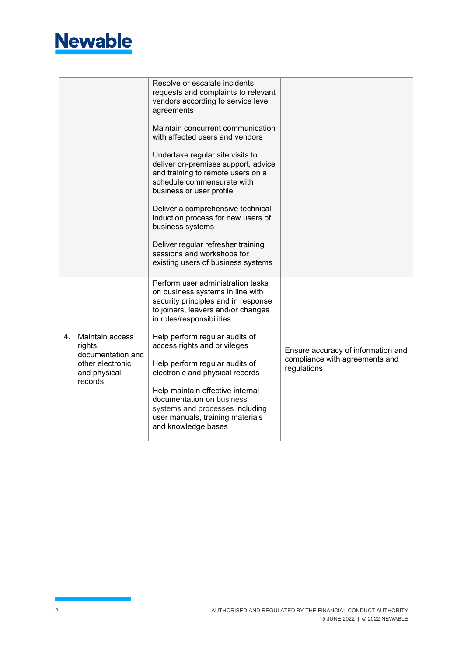

|   |                                                                                                | Resolve or escalate incidents,<br>requests and complaints to relevant<br>vendors according to service level<br>agreements                                                       |                                               |
|---|------------------------------------------------------------------------------------------------|---------------------------------------------------------------------------------------------------------------------------------------------------------------------------------|-----------------------------------------------|
|   |                                                                                                | Maintain concurrent communication<br>with affected users and vendors                                                                                                            |                                               |
|   |                                                                                                | Undertake regular site visits to<br>deliver on-premises support, advice<br>and training to remote users on a<br>schedule commensurate with<br>business or user profile          |                                               |
|   |                                                                                                | Deliver a comprehensive technical<br>induction process for new users of<br>business systems                                                                                     |                                               |
|   |                                                                                                | Deliver regular refresher training<br>sessions and workshops for<br>existing users of business systems                                                                          |                                               |
|   |                                                                                                | Perform user administration tasks<br>on business systems in line with<br>security principles and in response<br>to joiners, leavers and/or changes<br>in roles/responsibilities |                                               |
| 4 | Maintain access<br>rights,<br>documentation and<br>other electronic<br>and physical<br>records | Help perform regular audits of<br>access rights and privileges                                                                                                                  | Ensure accuracy of information and            |
|   |                                                                                                | Help perform regular audits of<br>electronic and physical records                                                                                                               | compliance with agreements and<br>regulations |
|   |                                                                                                | Help maintain effective internal<br>documentation on business<br>systems and processes including<br>user manuals, training materials<br>and knowledge bases                     |                                               |
|   |                                                                                                |                                                                                                                                                                                 |                                               |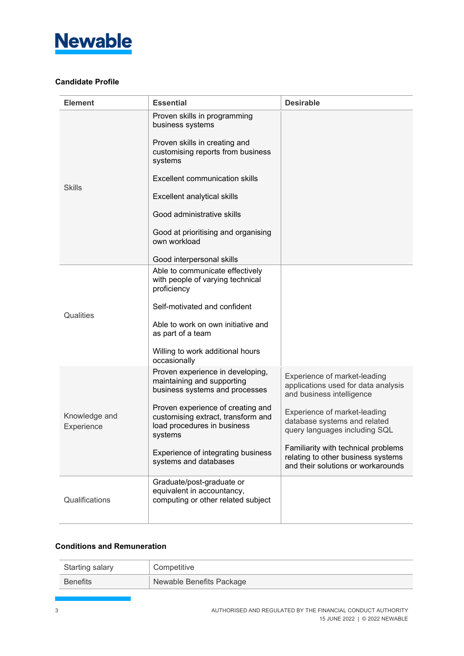

## **Candidate Profile**

| <b>Element</b>              | <b>Essential</b>                                                                                                                                                                                                                                                                                                     | <b>Desirable</b>                                                                                                |
|-----------------------------|----------------------------------------------------------------------------------------------------------------------------------------------------------------------------------------------------------------------------------------------------------------------------------------------------------------------|-----------------------------------------------------------------------------------------------------------------|
| <b>Skills</b>               | Proven skills in programming<br>business systems<br>Proven skills in creating and<br>customising reports from business<br>systems<br>Excellent communication skills<br>Excellent analytical skills<br>Good administrative skills<br>Good at prioritising and organising<br>own workload<br>Good interpersonal skills |                                                                                                                 |
|                             | Able to communicate effectively                                                                                                                                                                                                                                                                                      |                                                                                                                 |
|                             | with people of varying technical<br>proficiency                                                                                                                                                                                                                                                                      |                                                                                                                 |
| Qualities                   | Self-motivated and confident                                                                                                                                                                                                                                                                                         |                                                                                                                 |
|                             | Able to work on own initiative and<br>as part of a team                                                                                                                                                                                                                                                              |                                                                                                                 |
|                             | Willing to work additional hours<br>occasionally                                                                                                                                                                                                                                                                     |                                                                                                                 |
|                             | Proven experience in developing,<br>maintaining and supporting<br>business systems and processes                                                                                                                                                                                                                     | Experience of market-leading<br>applications used for data analysis<br>and business intelligence                |
| Knowledge and<br>Experience | Proven experience of creating and<br>customising extract, transform and<br>load procedures in business<br>systems                                                                                                                                                                                                    | Experience of market-leading<br>database systems and related<br>query languages including SQL                   |
|                             | Experience of integrating business<br>systems and databases                                                                                                                                                                                                                                                          | Familiarity with technical problems<br>relating to other business systems<br>and their solutions or workarounds |
| Qualifications              | Graduate/post-graduate or<br>equivalent in accountancy,<br>computing or other related subject                                                                                                                                                                                                                        |                                                                                                                 |
|                             |                                                                                                                                                                                                                                                                                                                      |                                                                                                                 |

## **Conditions and Remuneration**

| <b>Starting salary</b> | <sup>'</sup> Competitive |
|------------------------|--------------------------|
| <b>Benefits</b>        | Newable Benefits Package |